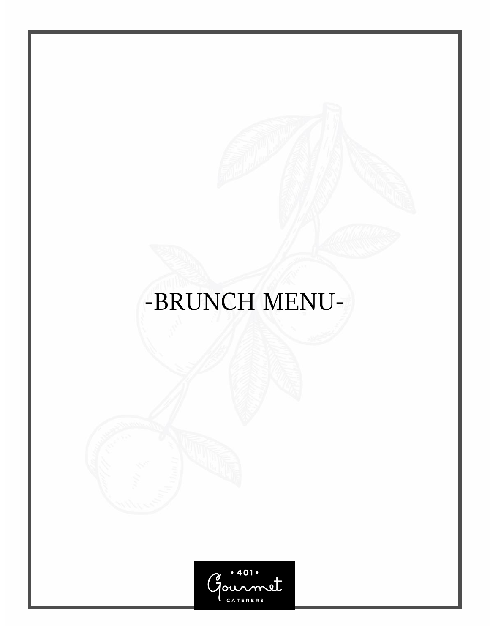# -BRUNCH MENU-

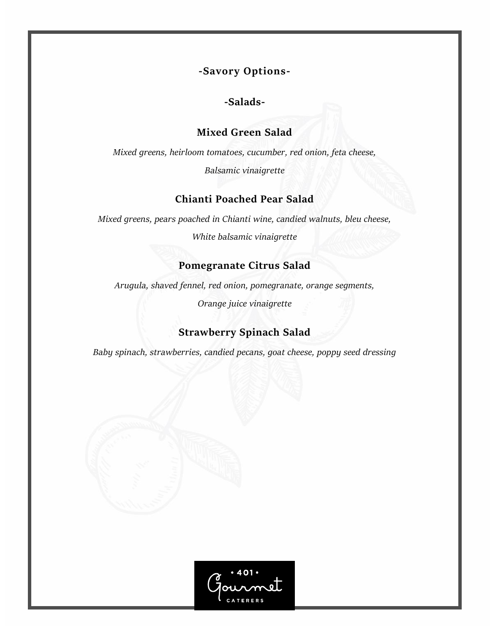**-Savory Options-**

**-Salads-**

## **Mixed Green Salad**

*Mixed greens, heirloom tomatoes, cucumber, red onion, feta cheese,* 

*Balsamic vinaigrette* 

# **Chianti Poached Pear Salad**

*Mixed greens, pears poached in Chianti wine, candied walnuts, bleu cheese,* 

*White balsamic vinaigrette* 

# **Pomegranate Citrus Salad**

*Arugula, shaved fennel, red onion, pomegranate, orange segments,* 

*Orange juice vinaigrette* 

# **Strawberry Spinach Salad**

*Baby spinach, strawberries, candied pecans, goat cheese, poppy seed dressing*

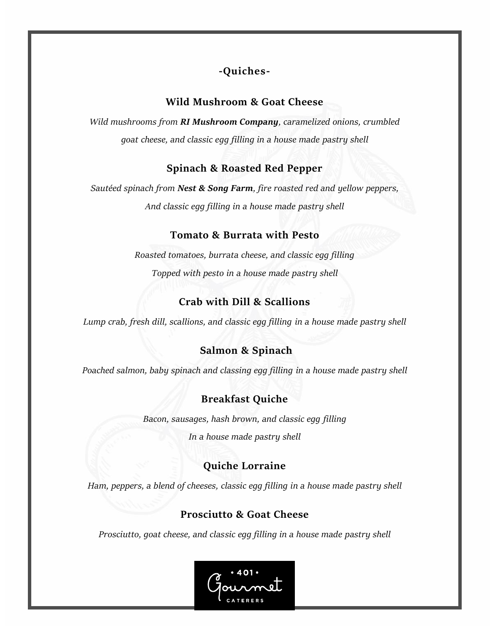# **-Quiches-**

## **Wild Mushroom & Goat Cheese**

*Wild mushrooms from RI Mushroom Company, caramelized onions, crumbled goat cheese, and classic egg filling in a house made pastry shell* 

## **Spinach & Roasted Red Pepper**

*Sautéed spinach from Nest & Song Farm, fire roasted red and yellow peppers, And classic egg filling in a house made pastry shell* 

## **Tomato & Burrata with Pesto**

*Roasted tomatoes, burrata cheese, and classic egg filling Topped with pesto in a house made pastry shell*

# **Crab with Dill & Scallions**

*Lump crab, fresh dill, scallions, and classic egg filling in a house made pastry shell*

## **Salmon & Spinach**

*Poached salmon, baby spinach and classing egg filling in a house made pastry shell*

## **Breakfast Quiche**

*Bacon, sausages, hash brown, and classic egg filling* 

*In a house made pastry shell* 

# **Quiche Lorraine**

*Ham, peppers, a blend of cheeses, classic egg filling in a house made pastry shell*

## **Prosciutto & Goat Cheese**

*Prosciutto, goat cheese, and classic egg filling in a house made pastry shell*

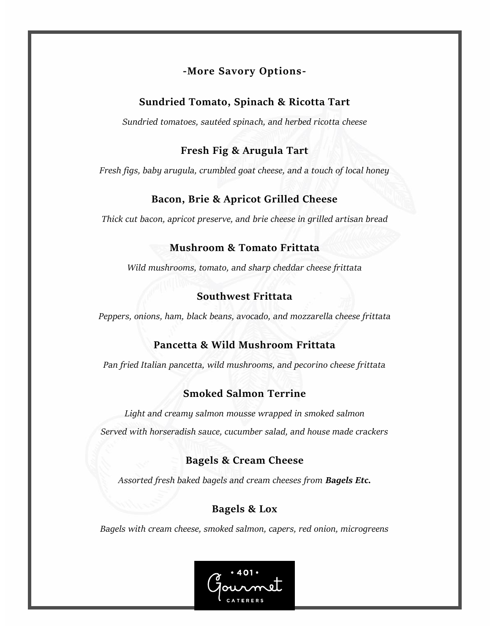## **-More Savory Options-**

## **Sundried Tomato, Spinach & Ricotta Tart**

*Sundried tomatoes, sautéed spinach, and herbed ricotta cheese*

## **Fresh Fig & Arugula Tart**

*Fresh figs, baby arugula, crumbled goat cheese, and a touch of local honey*

# **Bacon, Brie & Apricot Grilled Cheese**

*Thick cut bacon, apricot preserve, and brie cheese in grilled artisan bread*

## **Mushroom & Tomato Frittata**

*Wild mushrooms, tomato, and sharp cheddar cheese frittata*

# **Southwest Frittata**

*Peppers, onions, ham, black beans, avocado, and mozzarella cheese frittata* 

# **Pancetta & Wild Mushroom Frittata**

*Pan fried Italian pancetta, wild mushrooms, and pecorino cheese frittata* 

# **Smoked Salmon Terrine**

*Light and creamy salmon mousse wrapped in smoked salmon Served with horseradish sauce, cucumber salad, and house made crackers*

# **Bagels & Cream Cheese**

*Assorted fresh baked bagels and cream cheeses from Bagels Etc.*

# **Bagels & Lox**

*Bagels with cream cheese, smoked salmon, capers, red onion, microgreens*

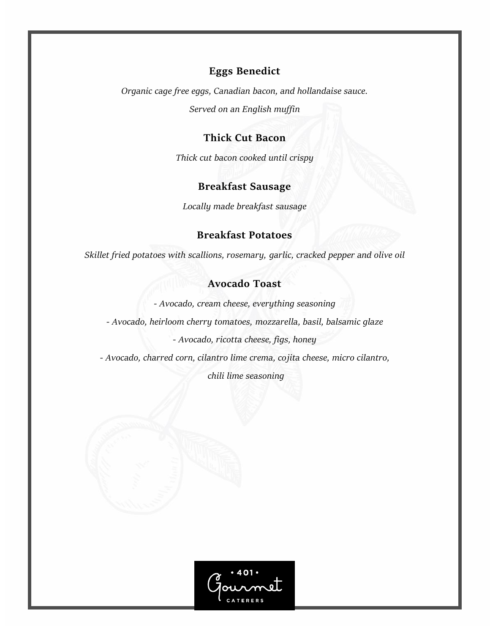### **Eggs Benedict**

*Organic cage free eggs, Canadian bacon, and hollandaise sauce. Served on an English muffin*

#### **Thick Cut Bacon**

*Thick cut bacon cooked until crispy*

## **Breakfast Sausage**

*Locally made breakfast sausage* 

#### **Breakfast Potatoes**

*Skillet fried potatoes with scallions, rosemary, garlic, cracked pepper and olive oil* 

#### **Avocado Toast**

*- Avocado, cream cheese, everything seasoning*

*- Avocado, heirloom cherry tomatoes, mozzarella, basil, balsamic glaze*

*- Avocado, ricotta cheese, figs, honey*

*- Avocado, charred corn, cilantro lime crema, cojita cheese, micro cilantro,* 

*chili lime seasoning*

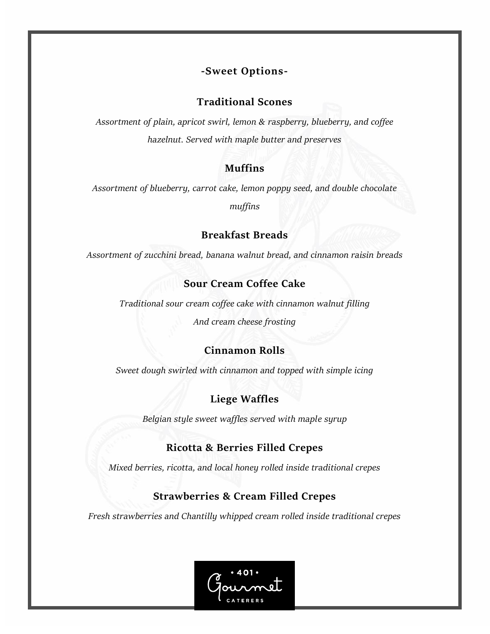## **-Sweet Options-**

#### **Traditional Scones**

*Assortment of plain, apricot swirl, lemon & raspberry, blueberry, and coffee hazelnut. Served with maple butter and preserves* 

#### **Muffins**

*Assortment of blueberry, carrot cake, lemon poppy seed, and double chocolate muffins*

#### **Breakfast Breads**

*Assortment of zucchini bread, banana walnut bread, and cinnamon raisin breads* 

#### **Sour Cream Coffee Cake**

*Traditional sour cream coffee cake with cinnamon walnut filling And cream cheese frosting* 

#### **Cinnamon Rolls**

*Sweet dough swirled with cinnamon and topped with simple icing*

## **Liege Waffles**

*Belgian style sweet waffles served with maple syrup* 

#### **Ricotta & Berries Filled Crepes**

*Mixed berries, ricotta, and local honey rolled inside traditional crepes* 

#### **Strawberries & Cream Filled Crepes**

*Fresh strawberries and Chantilly whipped cream rolled inside traditional crepes*